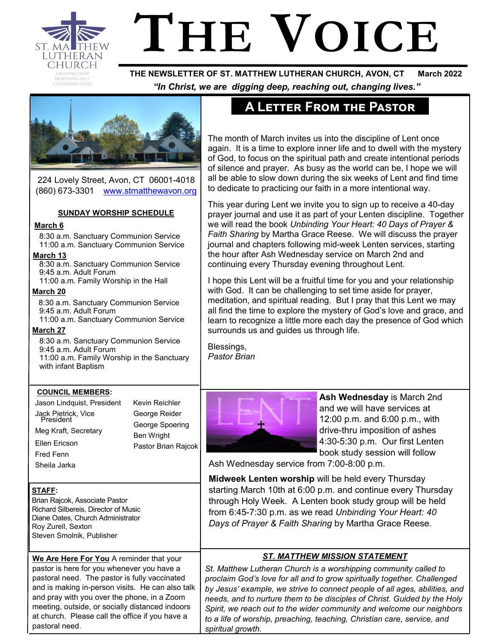

# **THE VOICE**

 **THE NEWSLETTER OF ST. MATTHEW LUTHERAN CHURCH, AVON, CT March 2022**  *"In Christ, we are digging deep, reaching out, changing lives."*



224 Lovely Street, Avon, CT 06001-4018 (860) 673-3301 [www.stmatthewavon.org](https://www.stmatthewavon.org/)

### **SUNDAY WORSHIP SCHEDULE**

### **March 6**

8:30 a.m. Sanctuary Communion Service 11:00 a.m. Sanctuary Communion Service

### **March 13**

 8:30 a.m. Sanctuary Communion Service 9:45 a.m. Adult Forum 11:00 a.m. Family Worship in the Hall

**March 20** 

8:30 a.m. Sanctuary Communion Service 9:45 a.m. Adult Forum 11:00 a.m. Sanctuary Communion Service

### **March 27**

8:30 a.m. Sanctuary Communion Service 9:45 a.m. Adult Forum 11:00 a.m. Family Worship in the Sanctuary with infant Baptism

> Kevin Reichler George Reider George Spoering Ben Wright

Pastor Brian Rajcok

### **COUNCIL MEMBERS:**

Jason Lindquist, President Jack Pietrick, Vice President Meg Kraft, Secretary Ellen Ericson Fred Fenn Sheila Jarka

**STAFF:**

Brian Rajcok, Associate Pastor Richard Silbereis, Director of Music Diane Oates, Church Administrator Roy Zurell, Sexton Steven Smolnik, Publisher

**We Are Here For You** A reminder that your pastor is here for you whenever you have a pastoral need. The pastor is fully vaccinated and is making in-person visits. He can also talk and pray with you over the phone, in a Zoom meeting, outside, or socially distanced indoors at church. Please call the office if you have a pastoral need.

# **A Letter From the Pastor**

The month of March invites us into the discipline of Lent once again. It is a time to explore inner life and to dwell with the mystery of God, to focus on the spiritual path and create intentional periods of silence and prayer. As busy as the world can be, I hope we will all be able to slow down during the six weeks of Lent and find time to dedicate to practicing our faith in a more intentional way.

This year during Lent we invite you to sign up to receive a 40-day prayer journal and use it as part of your Lenten discipline. Together we will read the book *Unbinding Your Heart: 40 Days of Prayer & Faith Sharing* by Martha Grace Reese. We will discuss the prayer journal and chapters following mid-week Lenten services, starting the hour after Ash Wednesday service on March 2nd and continuing every Thursday evening throughout Lent.

I hope this Lent will be a fruitful time for you and your relationship with God. It can be challenging to set time aside for prayer, meditation, and spiritual reading. But I pray that this Lent we may all find the time to explore the mystery of God's love and grace, and learn to recognize a little more each day the presence of God which surrounds us and guides us through life.

Blessings, *Pastor Brian* 



**Ash Wednesday** is March 2nd and we will have services at 12:00 p.m. and 6:00 p.m., with drive-thru imposition of ashes 4:30-5:30 p.m. Our first Lenten book study session will follow

Ash Wednesday service from 7:00-8:00 p.m.

**Midweek Lenten worship** will be held every Thursday starting March 10th at 6:00 p.m. and continue every Thursday through Holy Week. A Lenten book study group will be held from 6:45-7:30 p.m. as we read *Unbinding Your Heart: 40 Days of Prayer & Faith Sharing* by Martha Grace Reese.

### *ST. MATTHEW MISSION STATEMENT*

*St. Matthew Lutheran Church is a worshipping community called to proclaim God's love for all and to grow spiritually together. Challenged by Jesus' example, we strive to connect people of all ages, abilities, and needs, and to nurture them to be disciples of Christ. Guided by the Holy Spirit, we reach out to the wider community and welcome our neighbors to a life of worship, preaching, teaching, Christian care, service, and spiritual growth.*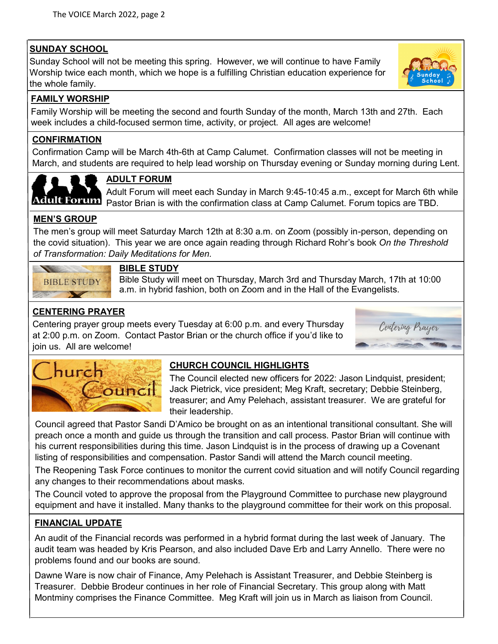# **SUNDAY SCHOOL**

Sunday School will not be meeting this spring. However, we will continue to have Family Worship twice each month, which we hope is a fulfilling Christian education experience for the whole family.



### **FAMILY WORSHIP**

Family Worship will be meeting the second and fourth Sunday of the month, March 13th and 27th. Each week includes a child-focused sermon time, activity, or project. All ages are welcome!

### **CONFIRMATION**

Confirmation Camp will be March 4th-6th at Camp Calumet. Confirmation classes will not be meeting in March, and students are required to help lead worship on Thursday evening or Sunday morning during Lent.



# **ADULT FORUM**

Adult Forum will meet each Sunday in March 9:45-10:45 a.m., except for March 6th while POTUM Pastor Brian is with the confirmation class at Camp Calumet. Forum topics are TBD.

### **MEN'S GROUP**

The men's group will meet Saturday March 12th at 8:30 a.m. on Zoom (possibly in-person, depending on the covid situation). This year we are once again reading through Richard Rohr's book *On the Threshold of Transformation: Daily Meditations for Men.* 



### **BIBLE STUDY**

Bible Study will meet on Thursday, March 3rd and Thursday March, 17th at 10:00 a.m. in hybrid fashion, both on Zoom and in the Hall of the Evangelists.

# **CENTERING PRAYER**

Centering prayer group meets every Tuesday at 6:00 p.m. and every Thursday at 2:00 p.m. on Zoom. Contact Pastor Brian or the church office if you'd like to join us. All are welcome!





# **CHURCH COUNCIL HIGHLIGHTS**

The Council elected new officers for 2022: Jason Lindquist, president; Jack Pietrick, vice president; Meg Kraft, secretary; Debbie Steinberg, treasurer; and Amy Pelehach, assistant treasurer. We are grateful for their leadership.

Council agreed that Pastor Sandi D'Amico be brought on as an intentional transitional consultant. She will preach once a month and guide us through the transition and call process. Pastor Brian will continue with his current responsibilities during this time. Jason Lindquist is in the process of drawing up a Covenant listing of responsibilities and compensation. Pastor Sandi will attend the March council meeting.

The Reopening Task Force continues to monitor the current covid situation and will notify Council regarding any changes to their recommendations about masks.

The Council voted to approve the proposal from the Playground Committee to purchase new playground equipment and have it installed. Many thanks to the playground committee for their work on this proposal.

### **FINANCIAL UPDATE**

An audit of the Financial records was performed in a hybrid format during the last week of January. The audit team was headed by Kris Pearson, and also included Dave Erb and Larry Annello. There were no problems found and our books are sound.

Dawne Ware is now chair of Finance, Amy Pelehach is Assistant Treasurer, and Debbie Steinberg is Treasurer. Debbie Brodeur continues in her role of Financial Secretary. This group along with Matt Montminy comprises the Finance Committee. Meg Kraft will join us in March as liaison from Council.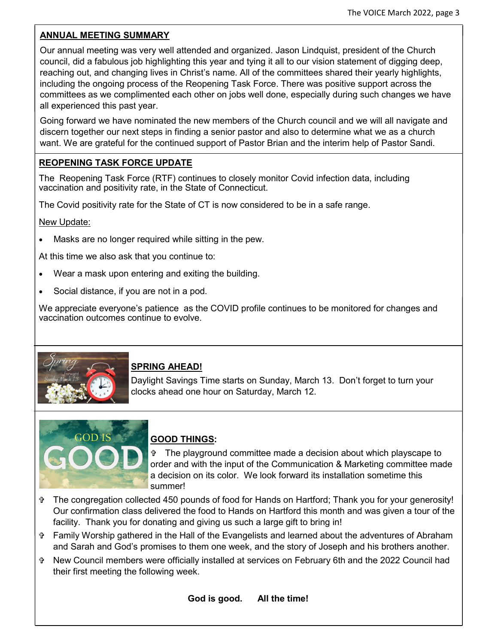### **ANNUAL MEETING SUMMARY**

Our annual meeting was very well attended and organized. Jason Lindquist, president of the Church council, did a fabulous job highlighting this year and tying it all to our vision statement of digging deep, reaching out, and changing lives in Christ's name. All of the committees shared their yearly highlights, including the ongoing process of the Reopening Task Force. There was positive support across the committees as we complimented each other on jobs well done, especially during such changes we have all experienced this past year.

Going forward we have nominated the new members of the Church council and we will all navigate and discern together our next steps in finding a senior pastor and also to determine what we as a church want. We are grateful for the continued support of Pastor Brian and the interim help of Pastor Sandi.

### **REOPENING TASK FORCE UPDATE**

The Reopening Task Force (RTF) continues to closely monitor Covid infection data, including vaccination and positivity rate, in the State of Connecticut.

The Covid positivity rate for the State of CT is now considered to be in a safe range.

### New Update:

• Masks are no longer required while sitting in the pew.

At this time we also ask that you continue to:

- Wear a mask upon entering and exiting the building.
- Social distance, if you are not in a pod.

We appreciate everyone's patience as the COVID profile continues to be monitored for changes and vaccination outcomes continue to evolve.



### **SPRING AHEAD!**

Daylight Savings Time starts on Sunday, March 13. Don't forget to turn your clocks ahead one hour on Saturday, March 12.



# **GOOD THINGS:**

 The playground committee made a decision about which playscape to order and with the input of the Communication & Marketing committee made a decision on its color. We look forward its installation sometime this summer!

- The congregation collected 450 pounds of food for Hands on Hartford; Thank you for your generosity! Our confirmation class delivered the food to Hands on Hartford this month and was given a tour of the facility. Thank you for donating and giving us such a large gift to bring in!
- Family Worship gathered in the Hall of the Evangelists and learned about the adventures of Abraham and Sarah and God's promises to them one week, and the story of Joseph and his brothers another.
- New Council members were officially installed at services on February 6th and the 2022 Council had their first meeting the following week.

**God is good. All the time!**